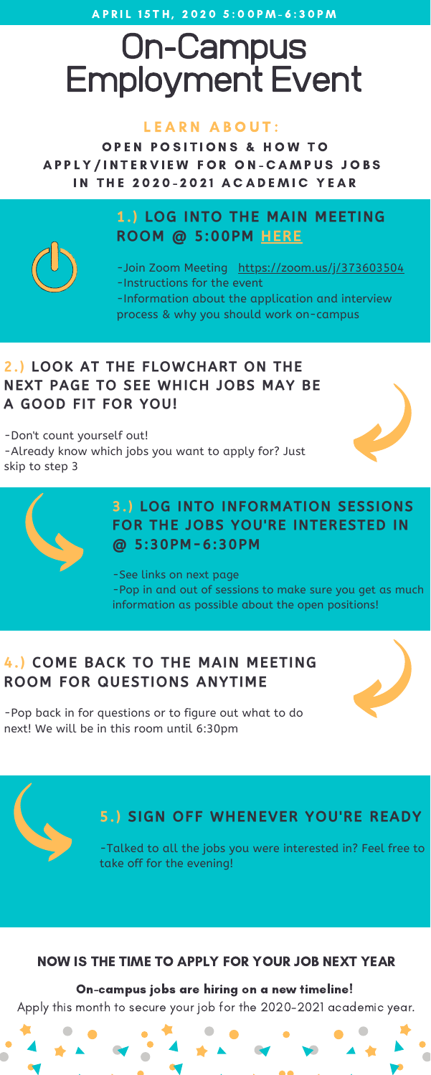A P R I L 15 T H , 2020 5:00 P M - 6:30 P M

## On-Campus Employment Event

#### LEARN ABOUT:

OPEN POSITIONS & HOW TO A P P L Y / IN T E R V I E W F O R O N - C A M P U S J O B S **IN THE 2020-2021 ACADEMIC YEAR** 

#### On-campus jobs are hiring on a new timeline! Apply this month to secure your job for the 2020-2021 academic year.



-Join Zoom Meeting <https://zoom.us/j/373603504> -Instructions for the event -Information about the application and interview process & why you should work on-campus

#### NOW IS THE TIME TO APPLY FOR YOUR JOB NEXT YEAR

#### 1.) LOG INTO THE MAIN MEETING ROOM @ 5:00PM [HERE](https://zoom.us/j/373603504)



#### 3.) LOG INTO INFORMATION SESSIONS FOR THE JOBS YOU'RE INTERESTED IN @ 5:30PM-6:30PM

-See links on next page -Pop in and out of sessions to make sure you get as much information as possible about the open positions!

#### 2.) LOOK AT THE FLOWCHART ON THE NEXT PAGE TO SEE WHICH JOBS MAY BE A GOOD FIT FOR YOU!

-Don't count yourself out! -Already know which jobs you want to apply for? Just skip to step 3





#### 4.) COME BACK TO THE MAIN MEETING ROOM FOR QUESTIONS ANYTIME

-Pop back in for questions or to figure out what to do next! We will be in this room until 6:30pm



#### 5.) SIGN OFF WHENEVER YOU'RE READY

-Talked to all the jobs you were interested in? Feel free to take off for the evening!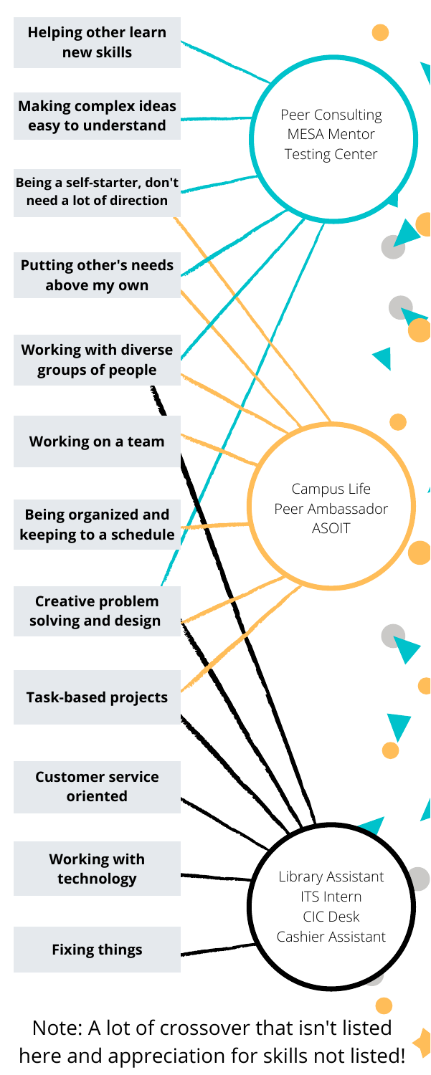Peer Consulting MESA Mentor Testing Center

Campus Life Peer Ambassador ASOIT

**Helping other learn new skills**

**Working with diverse groups of people**

**Making complex ideas easy to understand**

**Putting other's needs above my own**



**Being a self-starter, don't need a lot of direction**

**Being organized and keeping to a schedule**

**Creative problem solving and design**

**Working on a team**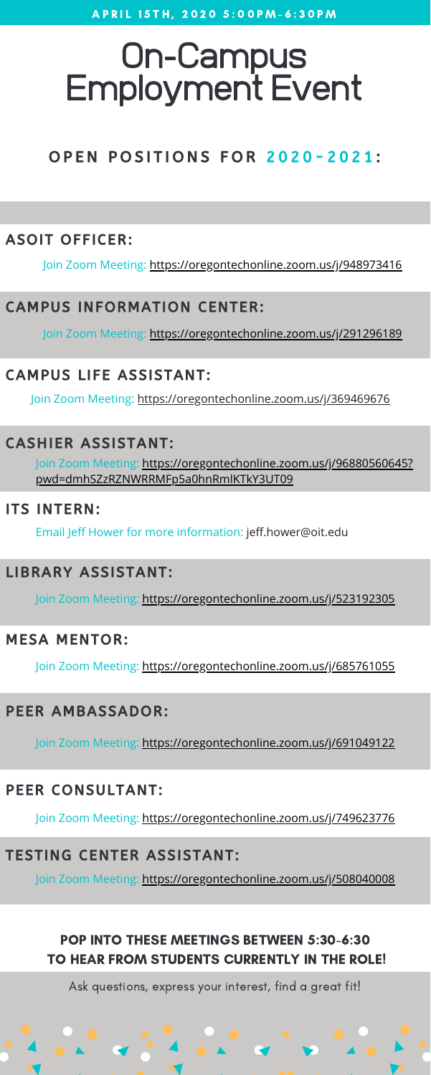# On-Campus Employment Event

OPEN POSITIONS FOR 2020-2021:

#### PEER CONSULTANT:

Ask questions, express your interest, find a great fit!

#### POP INTO THESE MEETINGS BETWEEN 5:30-6:30 TO HEAR FROM STUDENTS CURRENTLY IN THE ROLE!

Join Zoom Meeting: [https://oregontechonline.zoom.us/j/96880560645?](https://oregontechonline.zoom.us/j/96880560645?pwd=dmhSZzRZNWRRMFp5a0hnRmlKTkY3UT09) pwd=dmhSZzRZNWRRMFp5a0hnRmlKTkY3UT09

#### TESTING CENTER ASSISTANT:

#### ITS INTERN:

#### MESA MENTOR:

#### PEER AMBASSADOR:

#### CASHIER ASSISTANT:

Join Zoom Meeting: <https://oregontechonline.zoom.us/j/369469676>

Email Jeff Hower for more information: jeff.hower@oit.edu

#### LIBRARY ASSISTANT:

Join Zoom Meeting: <https://oregontechonline.zoom.us/j/523192305>

Join Zoom Meeting: <https://oregontechonline.zoom.us/j/685761055>

Join Zoom Meeting: <https://oregontechonline.zoom.us/j/691049122>

Join Zoom Meeting: <https://oregontechonline.zoom.us/j/749623776>

#### ASOIT OFFICER:

Join Zoom Meeting: <https://oregontechonline.zoom.us/j/948973416>

Join Zoom Meeting: <https://oregontechonline.zoom.us/j/508040008>

#### CAMPUS INFORMATION CENTER:

Join Zoom Meeting: <https://oregontechonline.zoom.us/j/291296189>

#### CAMPUS LIFE ASSISTANT: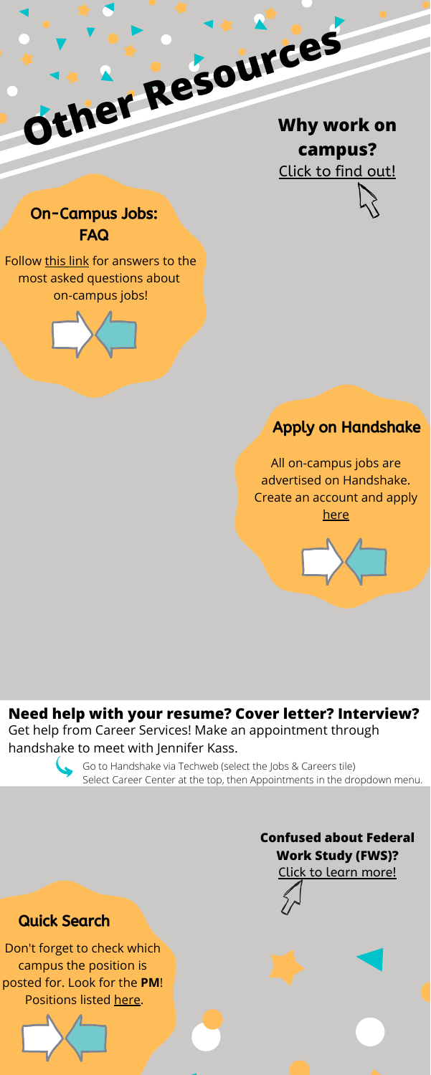All on-campus jobs are advertised on Handshake. Create an account and apply [here](https://oit.joinhandshake.com/login)



Don't forget to check which campus the position is posted for. Look for the **PM**! Positions listed [here.](https://www.oit.edu/career-services/students/working-on-campus/job-postings)



#### On-Campus Jobs: FAQ

Follow [this link](https://www.oit.edu/career-services/students/working-on-campus/on-campus-jobs-faq) for answers to the most asked questions about on-campus jobs!



#### **Need help with your resume? Cover letter? Interview?**

Get help from Career Services! Make an appointment through handshake to meet with Jennifer Kass.





Go to Handshake via Techweb (select the Jobs & Careers tile) Select Career Center at the top, then Appointments in the dropdown menu.

#### Apply on Handshake

#### Quick Search

#### **Confused about Federal Work Study (FWS)?**

[Click](https://www.oit.edu/career-services/students/working-on-campus) to learn [more!](https://www.oit.edu/career-services/students/working-on-campus)